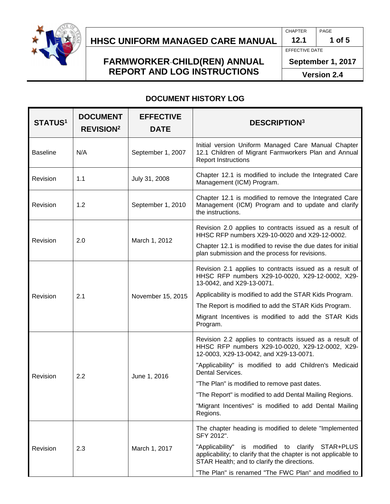

# **HHSC Uniform Managed Care MANUAL HHSC UNIFORM MANAGED CARE MANUAL 12.1 1 of 5**

### **FARMWORKER CHILD(REN) ANNUAL REPORT AND LOG INSTRUCTIONS**

CHAPTER PAGE

EFFECTIVE DATE

**September 1, 2017**

**Version 2.4**

### **DOCUMENT HISTORY LOG**

| <b>STATUS1</b>  | <b>DOCUMENT</b><br><b>REVISION<sup>2</sup></b> | <b>EFFECTIVE</b><br><b>DATE</b> | <b>DESCRIPTION3</b>                                                                                                                                                                                                                                                                                                                                                                                                 |  |
|-----------------|------------------------------------------------|---------------------------------|---------------------------------------------------------------------------------------------------------------------------------------------------------------------------------------------------------------------------------------------------------------------------------------------------------------------------------------------------------------------------------------------------------------------|--|
| <b>Baseline</b> | N/A                                            | September 1, 2007               | Initial version Uniform Managed Care Manual Chapter<br>12.1 Children of Migrant Farmworkers Plan and Annual<br><b>Report Instructions</b>                                                                                                                                                                                                                                                                           |  |
| Revision        | 1.1                                            | July 31, 2008                   | Chapter 12.1 is modified to include the Integrated Care<br>Management (ICM) Program.                                                                                                                                                                                                                                                                                                                                |  |
| Revision        | 1.2                                            | September 1, 2010               | Chapter 12.1 is modified to remove the Integrated Care<br>Management (ICM) Program and to update and clarify<br>the instructions.                                                                                                                                                                                                                                                                                   |  |
| Revision        | 2.0                                            | March 1, 2012                   | Revision 2.0 applies to contracts issued as a result of<br>HHSC RFP numbers X29-10-0020 and X29-12-0002.<br>Chapter 12.1 is modified to revise the due dates for initial<br>plan submission and the process for revisions.                                                                                                                                                                                          |  |
| Revision        | 2.1                                            | November 15, 2015               | Revision 2.1 applies to contracts issued as a result of<br>HHSC RFP numbers X29-10-0020, X29-12-0002, X29-<br>13-0042, and X29-13-0071.<br>Applicability is modified to add the STAR Kids Program.<br>The Report is modified to add the STAR Kids Program.<br>Migrant Incentives is modified to add the STAR Kids<br>Program.                                                                                       |  |
| Revision        | 2.2                                            | June 1, 2016                    | Revision 2.2 applies to contracts issued as a result of<br>HHSC RFP numbers X29-10-0020, X29-12-0002, X29-<br>12-0003, X29-13-0042, and X29-13-0071.<br>"Applicability" is modified to add Children's Medicaid<br>Dental Services.<br>"The Plan" is modified to remove past dates.<br>"The Report" is modified to add Dental Mailing Regions.<br>"Migrant Incentives" is modified to add Dental Mailing<br>Regions. |  |
| Revision        | 2.3                                            | March 1, 2017                   | The chapter heading is modified to delete "Implemented"<br>SFY 2012".<br>modified to clarify<br>STAR+PLUS<br>"Applicability"<br>is<br>applicability; to clarify that the chapter is not applicable to<br>STAR Health; and to clarify the directions.<br>"The Plan" is renamed "The FWC Plan" and modified to                                                                                                        |  |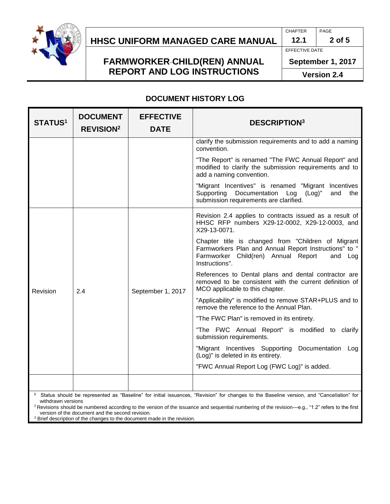

# **HHSC Uniform Managed Care MANUAL HHSC UNIFORM MANAGED CARE MANUAL 12.1 2 of 5**

### **FARMWORKER CHILD(REN) ANNUAL REPORT AND LOG INSTRUCTIONS**

CHAPTER PAGE

EFFECTIVE DATE

**September 1, 2017**

**Version 2.4**

#### **DOCUMENT HISTORY LOG**

| <b>STATUS<sup>1</sup></b> | <b>DOCUMENT</b><br><b>REVISION<sup>2</sup></b> | <b>EFFECTIVE</b><br><b>DATE</b> | <b>DESCRIPTION3</b>                                                                                                                                                             |
|---------------------------|------------------------------------------------|---------------------------------|---------------------------------------------------------------------------------------------------------------------------------------------------------------------------------|
|                           |                                                |                                 | clarify the submission requirements and to add a naming<br>convention.                                                                                                          |
|                           |                                                |                                 | "The Report" is renamed "The FWC Annual Report" and<br>modified to clarify the submission requirements and to<br>add a naming convention.                                       |
|                           |                                                |                                 | "Migrant Incentives" is renamed "Migrant Incentives<br>Supporting Documentation Log (Log)"<br>and<br>the<br>submission requirements are clarified.                              |
| Revision                  | 2.4                                            | September 1, 2017               | Revision 2.4 applies to contracts issued as a result of<br>HHSC RFP numbers X29-12-0002, X29-12-0003, and<br>X29-13-0071.                                                       |
|                           |                                                |                                 | Chapter title is changed from "Children of Migrant<br>Farmworkers Plan and Annual Report Instructions" to "<br>Farmworker Child(ren) Annual Report<br>and Log<br>Instructions". |
|                           |                                                |                                 | References to Dental plans and dental contractor are<br>removed to be consistent with the current definition of<br>MCO applicable to this chapter.                              |
|                           |                                                |                                 | "Applicability" is modified to remove STAR+PLUS and to<br>remove the reference to the Annual Plan.                                                                              |
|                           |                                                |                                 | "The FWC Plan" is removed in its entirety.                                                                                                                                      |
|                           |                                                |                                 | "The FWC Annual Report" is modified to clarify<br>submission requirements.                                                                                                      |
|                           |                                                |                                 | "Migrant Incentives Supporting Documentation<br>Log<br>(Log)" is deleted in its entirety.                                                                                       |
|                           |                                                |                                 | "FWC Annual Report Log (FWC Log)" is added.                                                                                                                                     |
|                           |                                                |                                 |                                                                                                                                                                                 |
|                           |                                                |                                 | <sup>1</sup> Status should be represented as "Baseline" for initial issuances "Revision" for changes to the Baseline version, and "Cancellation" for                            |

 Status should be represented as "Baseline" for initial issuances, "Revision" for changes to the Baseline version, and "Cancellation" for withdrawn versions

<sup>2</sup> Revisions should be numbered according to the version of the issuance and sequential numbering of the revision—e.g., "1.2" refers to the first version of the document and the second revision.

<sup>3</sup> Brief description of the changes to the document made in the revision.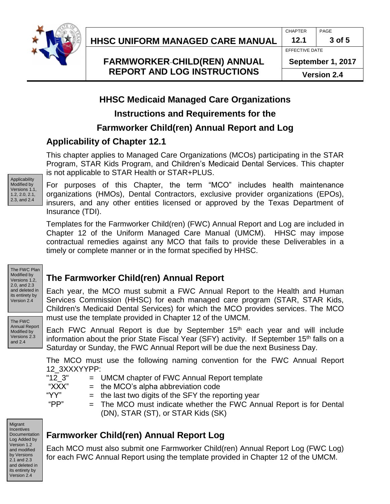

**HHSC Uniform Managed Care MANUAL HHSC UNIFORM MANAGED CARE MANUAL 12.1 3 of 5**

## **FARMWORKER CHILD(REN) ANNUAL REPORT AND LOG INSTRUCTIONS**

CHAPTER PAGE

EFFECTIVE DATE

**September 1, 2017 Version 2.4**

## **HHSC Medicaid Managed Care Organizations**

### **Instructions and Requirements for the**

## **Farmworker Child(ren) Annual Report and Log**

### **Applicability of Chapter 12.1**

This chapter applies to Managed Care Organizations (MCOs) participating in the STAR Program, STAR Kids Program, and Children's Medicaid Dental Services. This chapter is not applicable to STAR Health or STAR+PLUS.

Applicability Modified by Versions 1.1, 1.2, 2.0, 2.1, 2.3, and 2.4

For purposes of this Chapter, the term "MCO" includes health maintenance organizations (HMOs), Dental Contractors, exclusive provider organizations (EPOs), insurers, and any other entities licensed or approved by the Texas Department of Insurance (TDI).

Templates for the Farmworker Child(ren) (FWC) Annual Report and Log are included in Chapter 12 of the Uniform Managed Care Manual (UMCM). HHSC may impose contractual remedies against any MCO that fails to provide these Deliverables in a timely or complete manner or in the format specified by HHSC.

The FWC Plan Modified by Versions 1.2, 2.0, and 2.3 and deleted in its entirety by Version 2.4

The FWC Annual Report Modified by Versions 2.3 and 2.4

**The Farmworker Child(ren) Annual Report**

Each year, the MCO must submit a FWC Annual Report to the Health and Human Services Commission (HHSC) for each managed care program (STAR, STAR Kids, Children's Medicaid Dental Services) for which the MCO provides services. The MCO must use the template provided in Chapter 12 of the UMCM.

Each FWC Annual Report is due by September 15<sup>th</sup> each year and will include information about the prior State Fiscal Year (SFY) activity. If September 15<sup>th</sup> falls on a Saturday or Sunday, the FWC Annual Report will be due the next Business Day.

The MCO must use the following naming convention for the FWC Annual Report 12\_3XXXYYPP:

- "12\_3" = UMCM chapter of FWC Annual Report template
- " $XXX"$  = the MCO's alpha abbreviation code
- " $YY"$  = the last two digits of the SFY the reporting year
- 
- " $PP"$  = The MCO must indicate whether the FWC Annual Report is for Dental (DN), STAR (ST), or STAR Kids (SK)

**Migrant** Incentives Documentation Log Added by Version 1.2 and modified by Versions 2.1 and 2.3 and deleted in its entirety by Version 2.4

## **Farmworker Child(ren) Annual Report Log**

Each MCO must also submit one Farmworker Child(ren) Annual Report Log (FWC Log) for each FWC Annual Report using the template provided in Chapter 12 of the UMCM.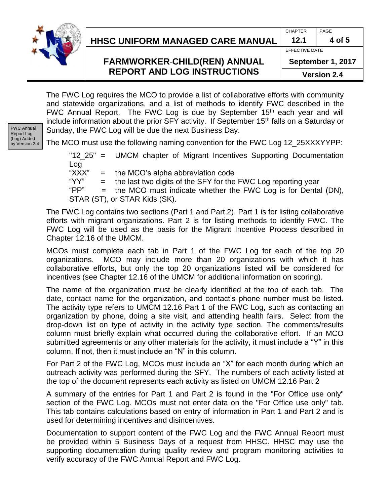

# **HHSC Uniform Managed Care MANUAL HHSC UNIFORM MANAGED CARE MANUAL 12.1 4 of 5**

### **FARMWORKER CHILD(REN) ANNUAL REPORT AND LOG INSTRUCTIONS**

CHAPTER PAGE

EFFECTIVE DATE

**September 1, 2017**

**Version 2.4**

The FWC Log requires the MCO to provide a list of collaborative efforts with community and statewide organizations, and a list of methods to identify FWC described in the FWC Annual Report. The FWC Log is due by September  $15<sup>th</sup>$  each year and will include information about the prior SFY activity. If September 15<sup>th</sup> falls on a Saturday or Sunday, the FWC Log will be due the next Business Day.

FWC Annual Report Log (Log) Added by Version 2.4

The MCO must use the following naming convention for the FWC Log 12\_25XXXYYPP:

"12\_25" = UMCM chapter of Migrant Incentives Supporting Documentation Log

" $\overline{XXX}$ " = the MCO's alpha abbreviation code

" $YY"$  = the last two digits of the SFY for the FWC Log reporting year

"PP" = the MCO must indicate whether the FWC Log is for Dental (DN), STAR (ST), or STAR Kids (SK).

The FWC Log contains two sections (Part 1 and Part 2). Part 1 is for listing collaborative efforts with migrant organizations. Part 2 is for listing methods to identify FWC. The FWC Log will be used as the basis for the Migrant Incentive Process described in Chapter 12.16 of the UMCM.

MCOs must complete each tab in Part 1 of the FWC Log for each of the top 20 organizations. MCO may include more than 20 organizations with which it has collaborative efforts, but only the top 20 organizations listed will be considered for incentives (see Chapter 12.16 of the UMCM for additional information on scoring).

The name of the organization must be clearly identified at the top of each tab. The date, contact name for the organization, and contact's phone number must be listed. The activity type refers to UMCM 12.16 Part 1 of the FWC Log, such as contacting an organization by phone, doing a site visit, and attending health fairs. Select from the drop-down list on type of activity in the activity type section. The comments/results column must briefly explain what occurred during the collaborative effort. If an MCO submitted agreements or any other materials for the activity, it must include a "Y" in this column. If not, then it must include an "N" in this column.

For Part 2 of the FWC Log, MCOs must include an "X" for each month during which an outreach activity was performed during the SFY. The numbers of each activity listed at the top of the document represents each activity as listed on UMCM 12.16 Part 2

A summary of the entries for Part 1 and Part 2 is found in the "For Office use only" section of the FWC Log. MCOs must not enter data on the "For Office use only" tab. This tab contains calculations based on entry of information in Part 1 and Part 2 and is used for determining incentives and disincentives.

Documentation to support content of the FWC Log and the FWC Annual Report must be provided within 5 Business Days of a request from HHSC. HHSC may use the supporting documentation during quality review and program monitoring activities to verify accuracy of the FWC Annual Report and FWC Log.